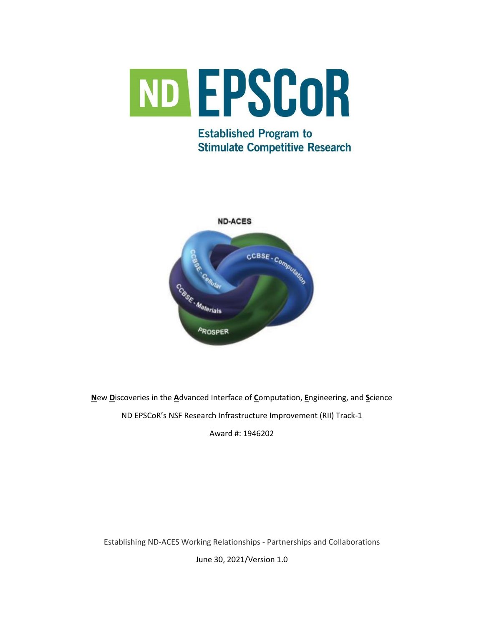

# **Established Program to Stimulate Competitive Research**



**N**ew **D**iscoveries in the **A**dvanced Interface of **C**omputation, **E**ngineering, and **S**cience ND EPSCoR's NSF Research Infrastructure Improvement (RII) Track-1

Award #: 1946202

Establishing ND-ACES Working Relationships - Partnerships and Collaborations

June 30, 2021/Version 1.0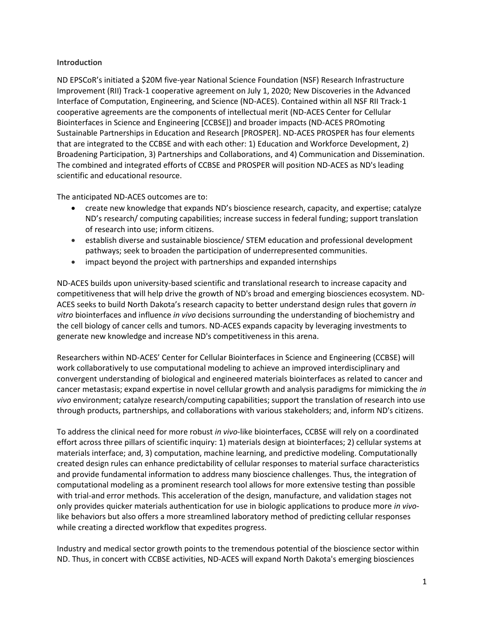#### **Introduction**

ND EPSCoR's initiated a \$20M five-year National Science Foundation (NSF) Research Infrastructure Improvement (RII) Track-1 cooperative agreement on July 1, 2020; New Discoveries in the Advanced Interface of Computation, Engineering, and Science (ND-ACES). Contained within all NSF RII Track-1 cooperative agreements are the components of intellectual merit (ND-ACES Center for Cellular Biointerfaces in Science and Engineering [CCBSE]) and broader impacts (ND-ACES PROmoting Sustainable Partnerships in Education and Research [PROSPER]. ND-ACES PROSPER has four elements that are integrated to the CCBSE and with each other: 1) Education and Workforce Development, 2) Broadening Participation, 3) Partnerships and Collaborations, and 4) Communication and Dissemination. The combined and integrated efforts of CCBSE and PROSPER will position ND-ACES as ND's leading scientific and educational resource.

The anticipated ND-ACES outcomes are to:

- create new knowledge that expands ND's bioscience research, capacity, and expertise; catalyze ND's research/ computing capabilities; increase success in federal funding; support translation of research into use; inform citizens.
- establish diverse and sustainable bioscience/ STEM education and professional development pathways; seek to broaden the participation of underrepresented communities.
- impact beyond the project with partnerships and expanded internships

ND-ACES builds upon university-based scientific and translational research to increase capacity and competitiveness that will help drive the growth of ND's broad and emerging biosciences ecosystem. ND-ACES seeks to build North Dakota's research capacity to better understand design rules that govern *in vitro* biointerfaces and influence *in vivo* decisions surrounding the understanding of biochemistry and the cell biology of cancer cells and tumors. ND-ACES expands capacity by leveraging investments to generate new knowledge and increase ND's competitiveness in this arena.

Researchers within ND-ACES' Center for Cellular Biointerfaces in Science and Engineering (CCBSE) will work collaboratively to use computational modeling to achieve an improved interdisciplinary and convergent understanding of biological and engineered materials biointerfaces as related to cancer and cancer metastasis; expand expertise in novel cellular growth and analysis paradigms for mimicking the *in vivo* environment; catalyze research/computing capabilities; support the translation of research into use through products, partnerships, and collaborations with various stakeholders; and, inform ND's citizens.

To address the clinical need for more robust *in vivo*-like biointerfaces, CCBSE will rely on a coordinated effort across three pillars of scientific inquiry: 1) materials design at biointerfaces; 2) cellular systems at materials interface; and, 3) computation, machine learning, and predictive modeling. Computationally created design rules can enhance predictability of cellular responses to material surface characteristics and provide fundamental information to address many bioscience challenges. Thus, the integration of computational modeling as a prominent research tool allows for more extensive testing than possible with trial-and error methods. This acceleration of the design, manufacture, and validation stages not only provides quicker materials authentication for use in biologic applications to produce more *in vivo*like behaviors but also offers a more streamlined laboratory method of predicting cellular responses while creating a directed workflow that expedites progress.

Industry and medical sector growth points to the tremendous potential of the bioscience sector within ND. Thus, in concert with CCBSE activities, ND-ACES will expand North Dakota's emerging biosciences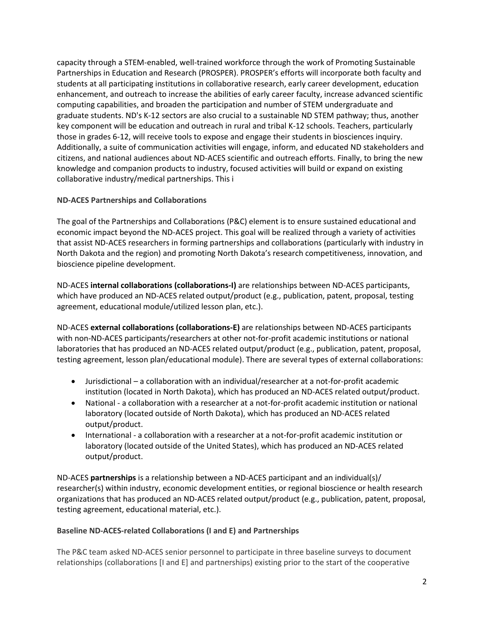capacity through a STEM-enabled, well-trained workforce through the work of Promoting Sustainable Partnerships in Education and Research (PROSPER). PROSPER's efforts will incorporate both faculty and students at all participating institutions in collaborative research, early career development, education enhancement, and outreach to increase the abilities of early career faculty, increase advanced scientific computing capabilities, and broaden the participation and number of STEM undergraduate and graduate students. ND's K-12 sectors are also crucial to a sustainable ND STEM pathway; thus, another key component will be education and outreach in rural and tribal K-12 schools. Teachers, particularly those in grades 6-12, will receive tools to expose and engage their students in biosciences inquiry. Additionally, a suite of communication activities will engage, inform, and educated ND stakeholders and citizens, and national audiences about ND-ACES scientific and outreach efforts. Finally, to bring the new knowledge and companion products to industry, focused activities will build or expand on existing collaborative industry/medical partnerships. This i

# **ND-ACES Partnerships and Collaborations**

The goal of the Partnerships and Collaborations (P&C) element is to ensure sustained educational and economic impact beyond the ND-ACES project. This goal will be realized through a variety of activities that assist ND-ACES researchers in forming partnerships and collaborations (particularly with industry in North Dakota and the region) and promoting North Dakota's research competitiveness, innovation, and bioscience pipeline development.

ND-ACES **internal collaborations (collaborations-I)** are relationships between ND-ACES participants, which have produced an ND-ACES related output/product (e.g., publication, patent, proposal, testing agreement, educational module/utilized lesson plan, etc.).

ND-ACES **external collaborations (collaborations-E)** are relationships between ND-ACES participants with non-ND-ACES participants/researchers at other not-for-profit academic institutions or national laboratories that has produced an ND-ACES related output/product (e.g., publication, patent, proposal, testing agreement, lesson plan/educational module). There are several types of external collaborations:

- Jurisdictional a collaboration with an individual/researcher at a not-for-profit academic institution (located in North Dakota), which has produced an ND-ACES related output/product.
- National a collaboration with a researcher at a not-for-profit academic institution or national laboratory (located outside of North Dakota), which has produced an ND-ACES related output/product.
- International a collaboration with a researcher at a not-for-profit academic institution or laboratory (located outside of the United States), which has produced an ND-ACES related output/product.

ND-ACES **partnerships** is a relationship between a ND-ACES participant and an individual(s)/ researcher(s) within industry, economic development entities, or regional bioscience or health research organizations that has produced an ND-ACES related output/product (e.g., publication, patent, proposal, testing agreement, educational material, etc.).

# **Baseline ND-ACES-related Collaborations (I and E) and Partnerships**

The P&C team asked ND-ACES senior personnel to participate in three baseline surveys to document relationships (collaborations [I and E] and partnerships) existing prior to the start of the cooperative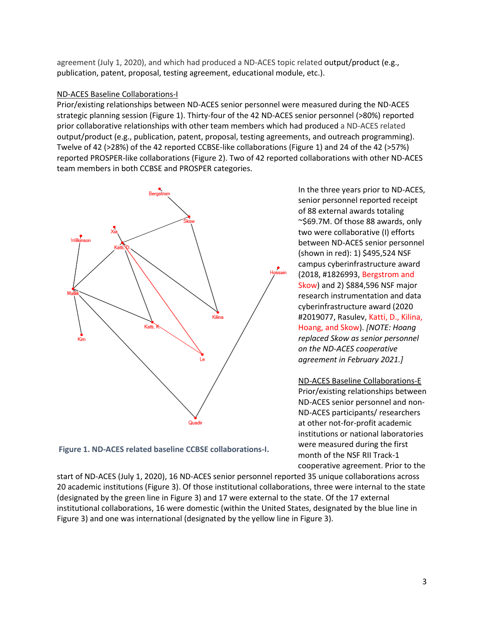agreement (July 1, 2020), and which had produced a ND-ACES topic related output/product (e.g., publication, patent, proposal, testing agreement, educational module, etc.).

## ND-ACES Baseline Collaborations-I

Prior/existing relationships between ND-ACES senior personnel were measured during the ND-ACES strategic planning session (Figure 1). Thirty-four of the 42 ND-ACES senior personnel (>80%) reported prior collaborative relationships with other team members which had produced a ND-ACES related output/product (e.g., publication, patent, proposal, testing agreements, and outreach programming). Twelve of 42 (>28%) of the 42 reported CCBSE-like collaborations (Figure 1) and 24 of the 42 (>57%) reported PROSPER-like collaborations (Figure 2). Two of 42 reported collaborations with other ND-ACES team members in both CCBSE and PROSPER categories.



In the three years prior to ND-ACES, senior personnel reported receipt of 88 external awards totaling ~\$69.7M. Of those 88 awards, only two were collaborative (I) efforts between ND-ACES senior personnel (shown in red): 1) \$495,524 NSF campus cyberinfrastructure award (2018, #1826993, Bergstrom and Skow) and 2) \$884,596 NSF major research instrumentation and data cyberinfrastructure award (2020 #2019077, Rasulev, Katti, D., Kilina, Hoang, and Skow). *[NOTE: Hoang replaced Skow as senior personnel on the ND-ACES cooperative agreement in February 2021.]*

ND-ACES Baseline Collaborations-E Prior/existing relationships between ND-ACES senior personnel and non-ND-ACES participants/ researchers at other not-for-profit academic institutions or national laboratories were measured during the first month of the NSF RII Track-1 cooperative agreement. Prior to the

**Figure 1. ND-ACES related baseline CCBSE collaborations-I.**

start of ND-ACES (July 1, 2020), 16 ND-ACES senior personnel reported 35 unique collaborations across 20 academic institutions (Figure 3). Of those institutional collaborations, three were internal to the state (designated by the green line in Figure 3) and 17 were external to the state. Of the 17 external institutional collaborations, 16 were domestic (within the United States, designated by the blue line in Figure 3) and one was international (designated by the yellow line in Figure 3).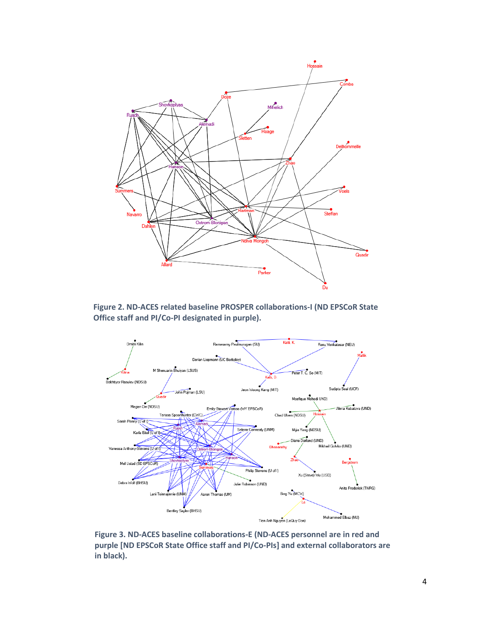

**Figure 2. ND-ACES related baseline PROSPER collaborations-I (ND EPSCoR State Office staff and PI/Co-PI designated in purple).**



**Figure 3. ND-ACES baseline collaborations-E (ND-ACES personnel are in red and purple [ND EPSCoR State Office staff and PI/Co-PIs] and external collaborators are in black).**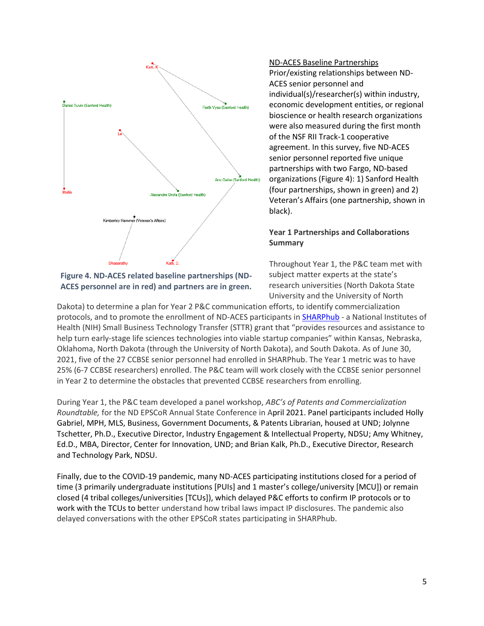

**Figure 4. ND-ACES related baseline partnerships (ND-ACES personnel are in red) and partners are in green.**

ND-ACES Baseline Partnerships Prior/existing relationships between ND-ACES senior personnel and individual(s)/researcher(s) within industry, economic development entities, or regional bioscience or health research organizations were also measured during the first month of the NSF RII Track-1 cooperative agreement. In this survey, five ND-ACES senior personnel reported five unique partnerships with two Fargo, ND-based organizations (Figure 4): 1) Sanford Health (four partnerships, shown in green) and 2) Veteran's Affairs (one partnership, shown in black).

### **Year 1 Partnerships and Collaborations Summary**

Throughout Year 1, the P&C team met with subject matter experts at the state's research universities (North Dakota State University and the University of North

Dakota) to determine a plan for Year 2 P&C communication efforts, to identify commercialization protocols, and to promote the enrollment of ND-ACES participants in **SHARPhub** - a National Institutes of Health (NIH) Small Business Technology Transfer (STTR) grant that "provides resources and assistance to help turn early-stage life sciences technologies into viable startup companies" within Kansas, Nebraska, Oklahoma, North Dakota (through the University of North Dakota), and South Dakota. As of June 30, 2021, five of the 27 CCBSE senior personnel had enrolled in SHARPhub. The Year 1 metric was to have 25% (6-7 CCBSE researchers) enrolled. The P&C team will work closely with the CCBSE senior personnel in Year 2 to determine the obstacles that prevented CCBSE researchers from enrolling.

During Year 1, the P&C team developed a panel workshop, *ABC's of Patents and Commercialization Roundtable,* for the ND EPSCoR Annual State Conference in April 2021. Panel participants included Holly Gabriel, MPH, MLS, Business, Government Documents, & Patents Librarian, housed at UND; Jolynne Tschetter, Ph.D., Executive Director, Industry Engagement & Intellectual Property, NDSU; Amy Whitney, Ed.D., MBA, Director, Center for Innovation, UND; and Brian Kalk, Ph.D., Executive Director, Research and Technology Park, NDSU.

Finally, due to the COVID-19 pandemic, many ND-ACES participating institutions closed for a period of time (3 primarily undergraduate institutions [PUIs] and 1 master's college/university [MCU]) or remain closed (4 tribal colleges/universities [TCUs]), which delayed P&C efforts to confirm IP protocols or to work with the TCUs to better understand how tribal laws impact IP disclosures. The pandemic also delayed conversations with the other EPSCoR states participating in SHARPhub.